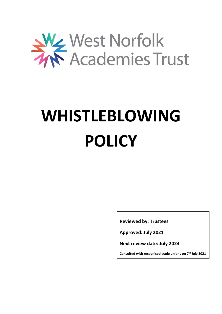

# **WHISTLEBLOWING POLICY**

**Reviewed by: Trustees**

**Approved: July 2021**

**Next review date: July 2024**

**Consulted with recognised trade unions on 7 th July 2021**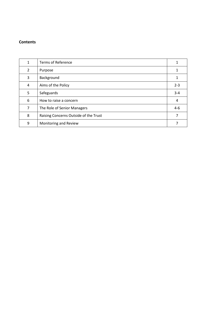# **Contents**

| $\mathbf{1}$   | <b>Terms of Reference</b>             |         |
|----------------|---------------------------------------|---------|
| $\overline{2}$ | Purpose                               |         |
| 3              | Background                            |         |
| 4              | Aims of the Policy                    | $2 - 3$ |
| 5              | Safeguards                            | $3 - 4$ |
| 6              | How to raise a concern                | 4       |
| 7              | The Role of Senior Managers           | $4 - 6$ |
| 8              | Raising Concerns Outside of the Trust |         |
| 9              | Monitoring and Review                 |         |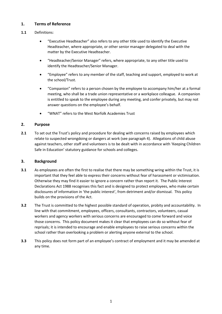# **1. Terms of Reference**

# **1.1** Definitions:

- "Executive Headteacher" also refers to any other title used to identify the Executive Headteacher, where appropriate, or other senior manager delegated to deal with the matter by the Executive Headteacher.
- "Headteacher/Senior Manager" refers, where appropriate, to any other title used to identify the Headteacher/Senior Manager.
- "Employee" refers to any member of the staff, teaching and support, employed to work at the school/Trust.
- "Companion" refers to a person chosen by the employee to accompany him/her at a formal meeting, who shall be a trade union representative or a workplace colleague. A companion is entitled to speak to the employee during any meeting, and confer privately, but may not answer questions on the employee's behalf.
- "WNAT" refers to the West Norfolk Academies Trust

# **2. Purpose**

**2.1** To set out the Trust's policy and procedure for dealing with concerns raised by employees which relate to suspected wrongdoing or dangers at work (see paragraph 4). Allegations of child abuse against teachers, other staff and volunteers is to be dealt with in accordance with 'Keeping Children Safe in Education' statutory guidance for schools and colleges.

## **3. Background**

- **3.1** As employees are often the first to realise that there may be something wring within the Trust, it is important that they feel able to express their concerns without fear of harassment or victimisation. Otherwise they may find it easier to ignore a concern rather than report it. The Public Interest Declarations Act 1988 recognises this fact and is designed to protect employees, who make certain disclosures of information in 'the public interest', from detriment and/or dismissal. This policy builds on the provisions of the Act.
- **3.2** The Trust is committed to the highest possible standard of operation, probity and accountability. In line with that commitment, employees, officers, consultants, contractors, volunteers, casual workers and agency workers with serious concerns are encouraged to come forward and voice those concerns. This policy document makes it clear that employees can do so without fear of reprisals; it is intended to encourage and enable employees to raise serious concerns within the school rather than overlooking a problem or alerting anyone external to the school.
- **3.3** This policy does not form part of an employee's contract of employment and it may be amended at any time.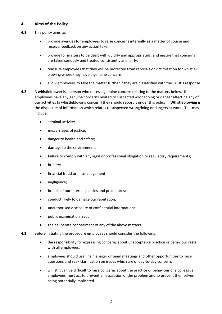# **4. Aims of the Policy**

- **4.1** This policy aims to:
	- provide avenues for employees to raise concerns internally as a matter of course and receive feedback on any action taken;
	- provide for matters to be dealt with quickly and appropriately; and ensure that concerns are taken seriously and treated consistently and fairly;
	- reassure employees that they will be protected from reprisals or victimisation for whistleblowing where they have a genuine concern;
	- allow employees to take the matter further if they are dissatisfied with the Trust's response
- **4.2** A **whistleblower** is a person who raises a genuine concern relating to the matters below. If employees have any genuine concerns related to suspected wrongdoing or danger affecting any of our activities (a whistleblowing concern) they should report it under this policy. **Whistleblowing** is the disclosure of information which relates to suspected wrongdoing or dangers at work. This may include:
	- criminal activity:
	- miscarriages of justice;
	- danger to health and safety;
	- damage to the environment;
	- failure to comply with any legal or professional obligation or regulatory requirements;
	- bribery;
	- financial fraud or mismanagement;
	- negligence;
	- breach of our internal policies and procedures;
	- conduct likely to damage our reputation;
	- unauthorised disclosure of confidential information;
	- public examination fraud;
	- the deliberate concealment of any of the above matters.
- **4.3** Before initiating the procedure employees should consider the following:
	- the responsibility for expressing concerns about unacceptable practice or behaviour rests with all employees;
	- employees should use line manager or team meetings and other opportunities to raise questions and seek clarification on issues which are of day-to-day concern;
	- whilst it can be difficult to raise concerns about the practice or behaviour of a colleague, employees must act to prevent an escalation of the problem and to prevent themselves being potentially implicated.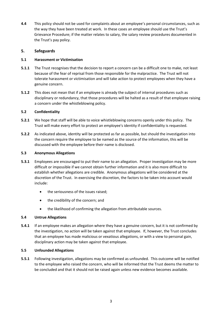**4.4** This policy should not be used for complaints about an employee's personal circumstances, such as the way they have been treated at work. In these cases an employee should use the Trust's Grievance Procedure; if the matter relates to salary, the salary review procedures documented in the Trust's pay policy.

#### **5. Safeguards**

#### **5.1 Harassment or Victimisation**

- **5.1.1** The Trust recognises that the decision to report a concern can be a difficult one to make, not least because of the fear of reprisal from those responsible for the malpractice. The Trust will not tolerate harassment or victimisation and will take action to protect employees when they have a genuine concern.
- **5.1.2** This does not mean that if an employee is already the subject of internal procedures such as disciplinary or redundancy, that those procedures will be halted as a result of that employee raising a concern under the whistleblowing policy.

#### **5.2 Confidentiality**

- **5.2.1** We hope that staff will be able to voice whistleblowing concerns openly under this policy. The Trust will make every effort to protect an employee's identity if confidentiality is requested.
- **5.2.2** As indicated above, identity will be protected as far as possible, but should the investigation into the concern require the employee to be named as the source of the information, this will be discussed with the employee before their name is disclosed.

#### **5.3 Anonymous Allegations**

- **5.3.1** Employees are encouraged to put their name to an allegation. Proper investigation may be more difficult or impossible if we cannot obtain further information and it is also more difficult to establish whether allegations are credible. Anonymous allegations will be considered at the discretion of the Trust. In exercising the discretion, the factors to be taken into account would include:
	- the seriousness of the issues raised;
	- the credibility of the concern; and
	- the likelihood of confirming the allegation from attributable sources.

## **5.4 Untrue Allegations**

**5.4.1** If an employee makes an allegation where they have a genuine concern, but it is not confirmed by the investigation, no action will be taken against that employee. If, however, the Trust concludes that an employee has made malicious or vexatious allegations, or with a view to personal gain, disciplinary action may be taken against that employee.

#### **5.5 Unfounded Allegations**

**5.5.1** Following investigation, allegations may be confirmed as unfounded. This outcome will be notified to the employee who raised the concern, who will be informed that the Trust deems the matter to be concluded and that it should not be raised again unless new evidence becomes available.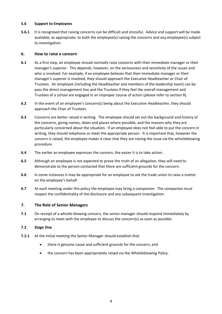#### **5.6 Support to Employees**

**5.6.1** It is recognised that raising concerns can be difficult and stressful. Advice and support will be made available, as appropriate, to both the employee(s) raising the concerns and any employee(s) subject to investigation.

#### **6. How to raise a concern**

- **6.1** As a first step, an employee should normally raise concerns with their immediate manager or their manager's superior. This depends, however, on the seriousness and sensitivity of the issues and who is involved. For example, if an employee believes that their immediate manager or their manager's superior is involved, they should approach the Executive Headteacher or Chair of Trustees. An employee (including the Headteacher and members of the leadership team) can bypass the direct management line and the Trustees if they feel the overall management and Trustees of a school are engaged in an improper course of action (please refer to section 8).
- **6.2** In the event of an employee's concern(s) being about the Executive Headteacher, they should approach the Chair of Trustees.
- **6.3** Concerns are better raised in writing. The employee should set out the background and history of the concerns, giving names, dates and places where possible, and the reasons why they are particularly concerned about the situation. If an employee does not feel able to put the concern in writing, they should telephone or meet the appropriate person. It is important that, however the concern is raised, the employee makes it clear that they are raising the issue via the whistleblowing procedure.
- **6.4** The earlier an employee expresses the concern, the easier it is to take action.
- **6.5** Although an employee is not expected to prove the truth of an allegation, they will need to demonstrate to the person contacted that there are sufficient grounds for the concern.
- **6.6** In some instances it may be appropriate for an employee to ask the trade union to raise a matter on the employee's behalf.
- **6.7** At each meeting under this policy the employee may bring a companion. The companion must respect the confidentiality of the disclosure and any subsequent investigation.

## **7. The Role of Senior Managers**

**7.1** On receipt of a whistle-blowing concern, the senior manager should respond immediately by arranging to meet with the employee to discuss the concern(s) as soon as possible.

#### **7.2 Stage One**

- **7.2.1** At the initial meeting the Senior Manager should establish that:
	- there is genuine cause and sufficient grounds for the concern; and
	- the concern has been appropriately raised via the Whistleblowing Policy.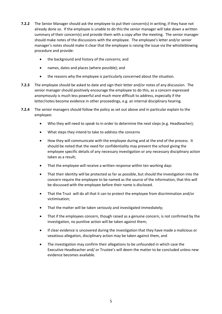- **7.2.2** The Senior Manager should ask the employee to put their concern(s) in writing, if they have not already done so. If the employee is unable to do this the senior manager will take down a written summary of their concern(s) and provide them with a copy after the meeting. The senior manager should make notes of the discussions with the employee. The employee's letter and/or senior manager's notes should make it clear that the employee is raising the issue via the whistleblowing procedure and provide:
	- the background and history of the concerns; and
	- names, dates and places (where possible); and
	- the reasons why the employee is particularly concerned about the situation.
- **7.2.3** The employee should be asked to date and sign their letter and/or notes of any discussion. The senior manager should positively encourage the employee to do this, as a concern expressed anonymously is much less powerful and much more difficult to address, especially if the letter/notes become evidence in other proceedings, e.g. an internal disciplinary hearing.
- **7.2.4** The senior managers should follow the policy as set out above and in particular explain to the employee:
	- Who they will need to speak to in order to determine the next steps (e.g. Headteacher);
	- What steps they intend to take to address the concerns
	- How they will communicate with the employee during and at the end of the process. It should be noted that the need for confidentiality may prevent the school giving the employee specific details of any necessary investigation or any necessary disciplinary action taken as a result;
	- That the employee will receive a written response within ten working days
	- That their identity will be protected as far as possible, but should the investigation into the concern require the employee to be named as the source of the information, that this will be discussed with the employee before their name is disclosed.
	- That the Trust will do all that it can to protect the employee from discrimination and/or victimisation;
	- That the matter will be taken seriously and investigated immediately;
	- That if the employees concern, though raised as a genuine concern, is not confirmed by the investigation, no punitive action will be taken against them;
	- If clear evidence is uncovered during the investigation that they have made a malicious or vexatious allegation, disciplinary action may be taken against them, and
	- The investigation may confirm their allegations to be unfounded in which case the Executive Headteacher and/ or Trustee's will deem the matter to be concluded unless new evidence becomes available.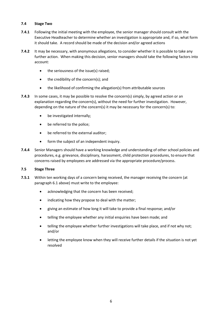## **7.4 Stage Two**

- **7.4.1** Following the initial meeting with the employee, the senior manager should consult with the Executive Headteacher to determine whether an investigation is appropriate and, if so, what form it should take. A record should be made of the decision and/or agreed actions
- **7.4.2** It may be necessary, with anonymous allegations, to consider whether it is possible to take any further action. When making this decision, senior managers should take the following factors into account:
	- the seriousness of the issue(s) raised;
	- the credibility of the concern(s); and
	- the likelihood of confirming the allegation(s) from attributable sources
- **7.4.3** In some cases, it may be possible to resolve the concern(s) simply, by agreed action or an explanation regarding the concern(s), without the need for further investigation. However, depending on the nature of the concern(s) it may be necessary for the concern(s) to:
	- be investigated internally;
	- be referred to the police;
	- be referred to the external auditor;
	- form the subject of an independent inquiry.
- **7.4.4** Senior Managers should have a working knowledge and understanding of other school policies and procedures, e.g. grievance, disciplinary, harassment, child protection procedures, to ensure that concerns raised by employees are addressed via the appropriate procedure/process.

#### **7.5 Stage Three**

- **7.5.1** Within ten working days of a concern being received, the manager receiving the concern (at paragraph 6.1 above) must write to the employee:
	- acknowledging that the concern has been received;
	- indicating how they propose to deal with the matter;
	- giving an estimate of how long it will take to provide a final response; and/or
	- telling the employee whether any initial enquiries have been made; and
	- telling the employee whether further investigations will take place, and if not why not; and/or
	- letting the employee know when they will receive further details if the situation is not yet resolved